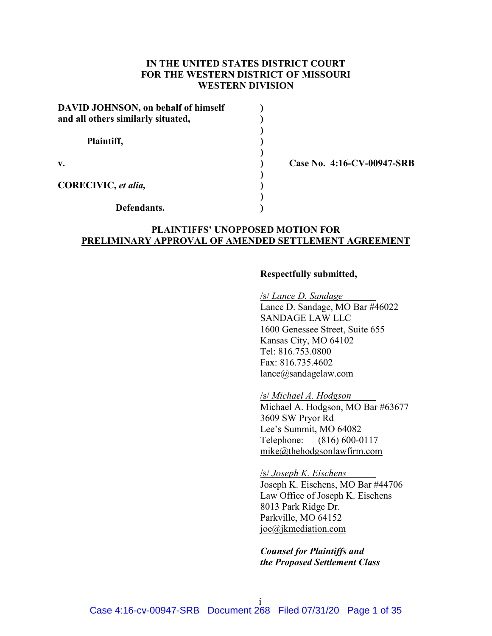# **IN THE UNITED STATES DISTRICT COURT FOR THE WESTERN DISTRICT OF MISSOURI WESTERN DIVISION**

| <b>DAVID JOHNSON</b> , on behalf of himself<br>and all others similarly situated, |  |
|-----------------------------------------------------------------------------------|--|
| Plaintiff,                                                                        |  |
| v.                                                                                |  |
| CORECIVIC, et alia,                                                               |  |
| Defendants.                                                                       |  |

**v. ) Case No. 4:16-CV-00947-SRB**

## **PLAINTIFFS' UNOPPOSED MOTION FOR PRELIMINARY APPROVAL OF AMENDED SETTLEMENT AGREEMENT**

#### **Respectfully submitted,**

/s/ *Lance D. Sandage* Lance D. Sandage, MO Bar #46022 SANDAGE LAW LLC 1600 Genessee Street, Suite 655 Kansas City, MO 64102 Tel: 816.753.0800 Fax: 816.735.4602 lance@sandagelaw.com

/s/ *Michael A. Hodgson* Michael A. Hodgson, MO Bar #63677 3609 SW Pryor Rd Lee's Summit, MO 64082 Telephone: (816) 600-0117 mike@thehodgsonlawfirm.com

/s/ *Joseph K. Eischens* Joseph K. Eischens, MO Bar #44706 Law Office of Joseph K. Eischens 8013 Park Ridge Dr. Parkville, MO 64152 joe@jkmediation.com

*Counsel for Plaintiffs and the Proposed Settlement Class*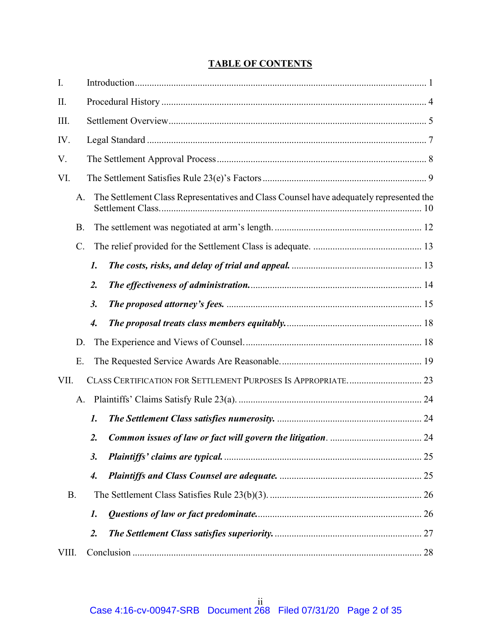# **TABLE OF CONTENTS**

| I.        |                 |                    |                                                                                        |  |
|-----------|-----------------|--------------------|----------------------------------------------------------------------------------------|--|
| II.       |                 |                    |                                                                                        |  |
| III.      |                 |                    |                                                                                        |  |
| IV.       |                 |                    |                                                                                        |  |
| V.        |                 |                    |                                                                                        |  |
| VI.       |                 |                    |                                                                                        |  |
|           | A.              |                    | The Settlement Class Representatives and Class Counsel have adequately represented the |  |
|           | <b>B.</b>       |                    |                                                                                        |  |
|           | $\mathcal{C}$ . |                    |                                                                                        |  |
|           |                 | $\mathbf{I}$ .     |                                                                                        |  |
|           |                 | $\overline{2}$ .   |                                                                                        |  |
|           |                 | 3.                 |                                                                                        |  |
|           |                 | $\boldsymbol{4}$ . |                                                                                        |  |
|           | D.              |                    |                                                                                        |  |
|           | E.              |                    |                                                                                        |  |
| VII.      |                 |                    |                                                                                        |  |
|           | A.              |                    |                                                                                        |  |
|           |                 | $\mathbf{I}$ .     |                                                                                        |  |
|           |                 | 2.                 |                                                                                        |  |
|           |                 | 3.                 |                                                                                        |  |
|           |                 | $\boldsymbol{4}$ . |                                                                                        |  |
| <b>B.</b> |                 |                    |                                                                                        |  |
|           |                 | $\mathbf{1}$ .     |                                                                                        |  |
|           |                 | $\overline{2}$ .   |                                                                                        |  |
| VIII.     |                 |                    |                                                                                        |  |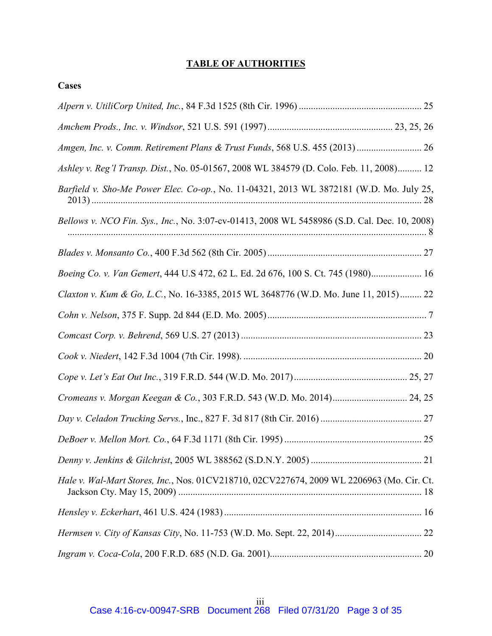# **TABLE OF AUTHORITIES**

**Cases**

| Amgen, Inc. v. Comm. Retirement Plans & Trust Funds, 568 U.S. 455 (2013)  26                 |
|----------------------------------------------------------------------------------------------|
| Ashley v. Reg'l Transp. Dist., No. 05-01567, 2008 WL 384579 (D. Colo. Feb. 11, 2008) 12      |
| Barfield v. Sho-Me Power Elec. Co-op., No. 11-04321, 2013 WL 3872181 (W.D. Mo. July 25,      |
| Bellows v. NCO Fin. Sys., Inc., No. 3:07-cv-01413, 2008 WL 5458986 (S.D. Cal. Dec. 10, 2008) |
|                                                                                              |
| Boeing Co. v. Van Gemert, 444 U.S 472, 62 L. Ed. 2d 676, 100 S. Ct. 745 (1980) 16            |
| Claxton v. Kum & Go, L.C., No. 16-3385, 2015 WL 3648776 (W.D. Mo. June 11, 2015) 22          |
|                                                                                              |
|                                                                                              |
|                                                                                              |
|                                                                                              |
| Cromeans v. Morgan Keegan & Co., 303 F.R.D. 543 (W.D. Mo. 2014) 24, 25                       |
|                                                                                              |
|                                                                                              |
|                                                                                              |
| Hale v. Wal-Mart Stores, Inc., Nos. 01CV218710, 02CV227674, 2009 WL 2206963 (Mo. Cir. Ct.    |
|                                                                                              |
|                                                                                              |
|                                                                                              |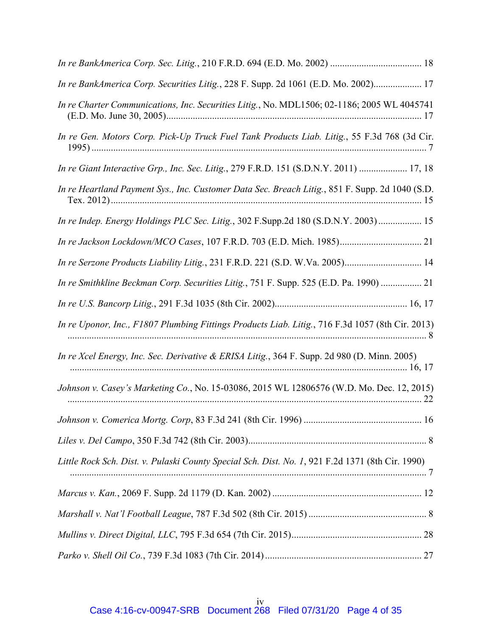| In re BankAmerica Corp. Securities Litig., 228 F. Supp. 2d 1061 (E.D. Mo. 2002) 17               |
|--------------------------------------------------------------------------------------------------|
| In re Charter Communications, Inc. Securities Litig., No. MDL1506; 02-1186; 2005 WL 4045741      |
| In re Gen. Motors Corp. Pick-Up Truck Fuel Tank Products Liab. Litig., 55 F.3d 768 (3d Cir.      |
| In re Giant Interactive Grp., Inc. Sec. Litig., 279 F.R.D. 151 (S.D.N.Y. 2011)  17, 18           |
| In re Heartland Payment Sys., Inc. Customer Data Sec. Breach Litig., 851 F. Supp. 2d 1040 (S.D.  |
| In re Indep. Energy Holdings PLC Sec. Litig., 302 F.Supp.2d 180 (S.D.N.Y. 2003) 15               |
| In re Jackson Lockdown/MCO Cases, 107 F.R.D. 703 (E.D. Mich. 1985) 21                            |
| In re Serzone Products Liability Litig., 231 F.R.D. 221 (S.D. W.Va. 2005) 14                     |
| In re Smithkline Beckman Corp. Securities Litig., 751 F. Supp. 525 (E.D. Pa. 1990)  21           |
|                                                                                                  |
| In re Uponor, Inc., F1807 Plumbing Fittings Products Liab. Litig., 716 F.3d 1057 (8th Cir. 2013) |
| In re Xcel Energy, Inc. Sec. Derivative & ERISA Litig., 364 F. Supp. 2d 980 (D. Minn. 2005)      |
| Johnson v. Casey's Marketing Co., No. 15-03086, 2015 WL 12806576 (W.D. Mo. Dec. 12, 2015)        |
|                                                                                                  |
|                                                                                                  |
| Little Rock Sch. Dist. v. Pulaski County Special Sch. Dist. No. 1, 921 F.2d 1371 (8th Cir. 1990) |
|                                                                                                  |
|                                                                                                  |
|                                                                                                  |
|                                                                                                  |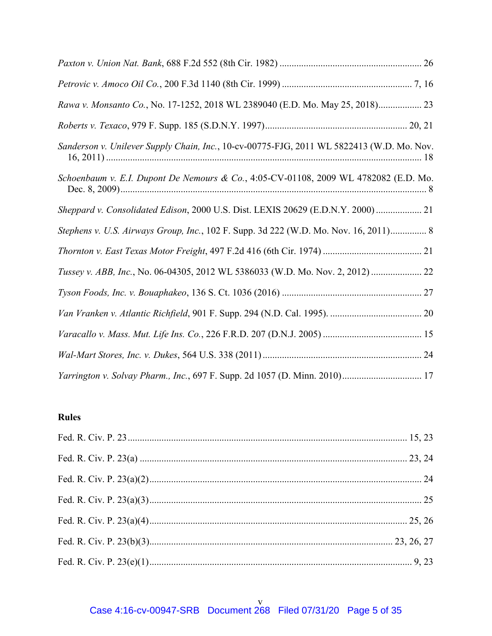| Rawa v. Monsanto Co., No. 17-1252, 2018 WL 2389040 (E.D. Mo. May 25, 2018) 23             |
|-------------------------------------------------------------------------------------------|
|                                                                                           |
| Sanderson v. Unilever Supply Chain, Inc., 10-cv-00775-FJG, 2011 WL 5822413 (W.D. Mo. Nov. |
| Schoenbaum v. E.I. Dupont De Nemours & Co., 4:05-CV-01108, 2009 WL 4782082 (E.D. Mo.      |
| Sheppard v. Consolidated Edison, 2000 U.S. Dist. LEXIS 20629 (E.D.N.Y. 2000) 21           |
| Stephens v. U.S. Airways Group, Inc., 102 F. Supp. 3d 222 (W.D. Mo. Nov. 16, 2011) 8      |
|                                                                                           |
| Tussey v. ABB, Inc., No. 06-04305, 2012 WL 5386033 (W.D. Mo. Nov. 2, 2012)  22            |
|                                                                                           |
|                                                                                           |
|                                                                                           |
|                                                                                           |
| Yarrington v. Solvay Pharm., Inc., 697 F. Supp. 2d 1057 (D. Minn. 2010) 17                |

# **Rules**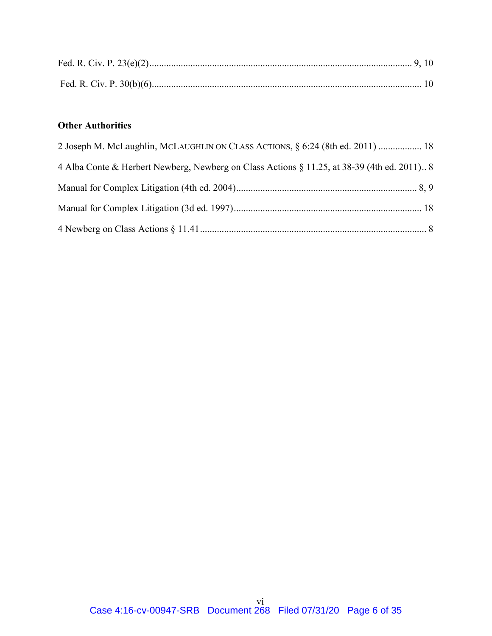# **Other Authorities**

| 2 Joseph M. McLaughlin, McLAUGHLIN ON CLASS ACTIONS, § 6:24 (8th ed. 2011)  18              |  |
|---------------------------------------------------------------------------------------------|--|
| 4 Alba Conte & Herbert Newberg, Newberg on Class Actions § 11.25, at 38-39 (4th ed. 2011) 8 |  |
|                                                                                             |  |
|                                                                                             |  |
|                                                                                             |  |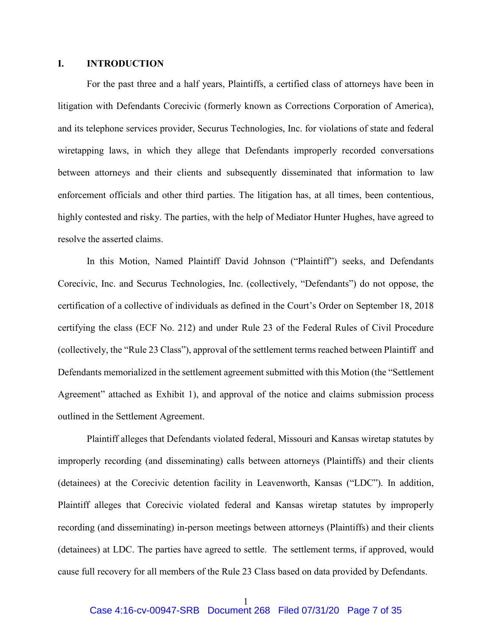## <span id="page-6-0"></span>**I. INTRODUCTION**

For the past three and a half years, Plaintiffs, a certified class of attorneys have been in litigation with Defendants Corecivic (formerly known as Corrections Corporation of America), and its telephone services provider, Securus Technologies, Inc. for violations of state and federal wiretapping laws, in which they allege that Defendants improperly recorded conversations between attorneys and their clients and subsequently disseminated that information to law enforcement officials and other third parties. The litigation has, at all times, been contentious, highly contested and risky. The parties, with the help of Mediator Hunter Hughes, have agreed to resolve the asserted claims.

In this Motion, Named Plaintiff David Johnson ("Plaintiff") seeks, and Defendants Corecivic, Inc. and Securus Technologies, Inc. (collectively, "Defendants") do not oppose, the certification of a collective of individuals as defined in the Court's Order on September 18, 2018 certifying the class (ECF No. 212) and under Rule 23 of the Federal Rules of Civil Procedure (collectively, the "Rule 23 Class"), approval of the settlement terms reached between Plaintiff and Defendants memorialized in the settlement agreement submitted with this Motion (the "Settlement Agreement" attached as Exhibit 1), and approval of the notice and claims submission process outlined in the Settlement Agreement.

Plaintiff alleges that Defendants violated federal, Missouri and Kansas wiretap statutes by improperly recording (and disseminating) calls between attorneys (Plaintiffs) and their clients (detainees) at the Corecivic detention facility in Leavenworth, Kansas ("LDC"). In addition, Plaintiff alleges that Corecivic violated federal and Kansas wiretap statutes by improperly recording (and disseminating) in-person meetings between attorneys (Plaintiffs) and their clients (detainees) at LDC. The parties have agreed to settle. The settlement terms, if approved, would cause full recovery for all members of the Rule 23 Class based on data provided by Defendants.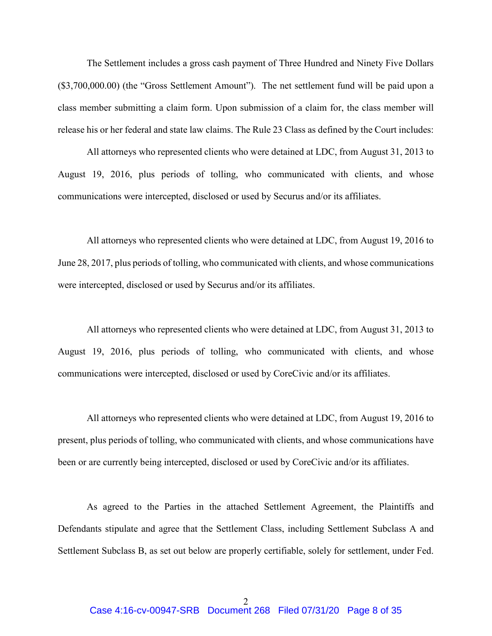The Settlement includes a gross cash payment of Three Hundred and Ninety Five Dollars (\$3,700,000.00) (the "Gross Settlement Amount"). The net settlement fund will be paid upon a class member submitting a claim form. Upon submission of a claim for, the class member will release his or her federal and state law claims. The Rule 23 Class as defined by the Court includes:

All attorneys who represented clients who were detained at LDC, from August 31, 2013 to August 19, 2016, plus periods of tolling, who communicated with clients, and whose communications were intercepted, disclosed or used by Securus and/or its affiliates.

All attorneys who represented clients who were detained at LDC, from August 19, 2016 to June 28, 2017, plus periods of tolling, who communicated with clients, and whose communications were intercepted, disclosed or used by Securus and/or its affiliates.

All attorneys who represented clients who were detained at LDC, from August 31, 2013 to August 19, 2016, plus periods of tolling, who communicated with clients, and whose communications were intercepted, disclosed or used by CoreCivic and/or its affiliates.

All attorneys who represented clients who were detained at LDC, from August 19, 2016 to present, plus periods of tolling, who communicated with clients, and whose communications have been or are currently being intercepted, disclosed or used by CoreCivic and/or its affiliates.

As agreed to the Parties in the attached Settlement Agreement, the Plaintiffs and Defendants stipulate and agree that the Settlement Class, including Settlement Subclass A and Settlement Subclass B, as set out below are properly certifiable, solely for settlement, under Fed.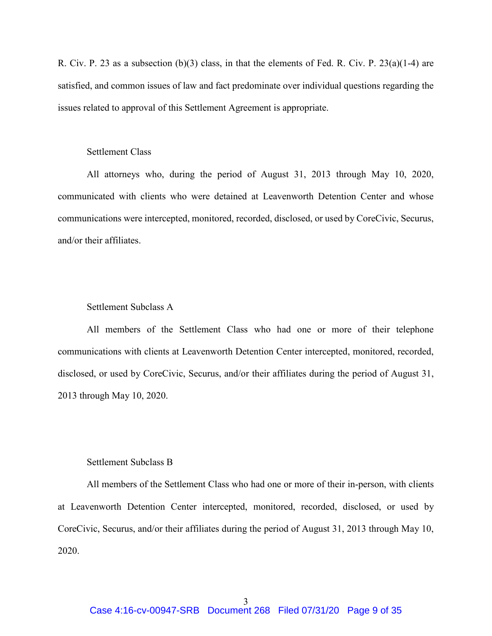R. Civ. P. 23 as a subsection (b)(3) class, in that the elements of Fed. R. Civ. P. 23(a)(1-4) are satisfied, and common issues of law and fact predominate over individual questions regarding the issues related to approval of this Settlement Agreement is appropriate.

## Settlement Class

All attorneys who, during the period of August 31, 2013 through May 10, 2020, communicated with clients who were detained at Leavenworth Detention Center and whose communications were intercepted, monitored, recorded, disclosed, or used by CoreCivic, Securus, and/or their affiliates.

## Settlement Subclass A

All members of the Settlement Class who had one or more of their telephone communications with clients at Leavenworth Detention Center intercepted, monitored, recorded, disclosed, or used by CoreCivic, Securus, and/or their affiliates during the period of August 31, 2013 through May 10, 2020.

## Settlement Subclass B

All members of the Settlement Class who had one or more of their in-person, with clients at Leavenworth Detention Center intercepted, monitored, recorded, disclosed, or used by CoreCivic, Securus, and/or their affiliates during the period of August 31, 2013 through May 10, 2020.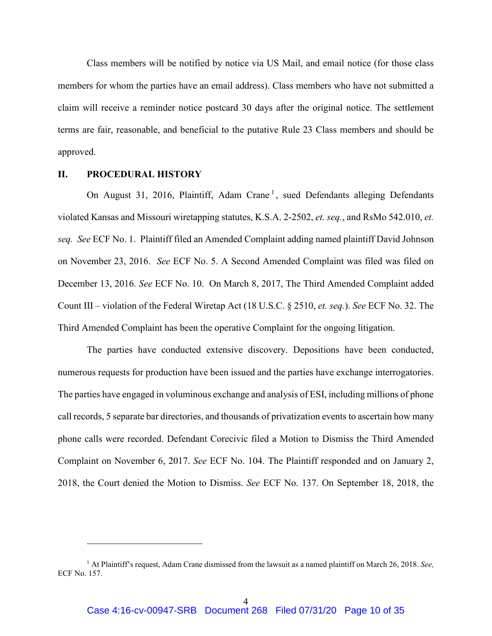Class members will be notified by notice via US Mail, and email notice (for those class members for whom the parties have an email address). Class members who have not submitted a claim will receive a reminder notice postcard 30 days after the original notice. The settlement terms are fair, reasonable, and beneficial to the putative Rule 23 Class members and should be approved.

## <span id="page-9-0"></span>**II. PROCEDURAL HISTORY**

 $\overline{a}$ 

On August 3[1](#page-9-1), 2016, Plaintiff, Adam Crane<sup>1</sup>, sued Defendants alleging Defendants violated Kansas and Missouri wiretapping statutes, K.S.A. 2-2502, *et. seq.*, and RsMo 542.010, *et. seq. See* ECF No. 1. Plaintiff filed an Amended Complaint adding named plaintiff David Johnson on November 23, 2016. *See* ECF No. 5. A Second Amended Complaint was filed was filed on December 13, 2016. *See* ECF No. 10. On March 8, 2017, The Third Amended Complaint added Count III – violation of the Federal Wiretap Act (18 U.S.C. § 2510, *et. seq.*). *See* ECF No. 32. The Third Amended Complaint has been the operative Complaint for the ongoing litigation.

The parties have conducted extensive discovery. Depositions have been conducted, numerous requests for production have been issued and the parties have exchange interrogatories. The parties have engaged in voluminous exchange and analysis of ESI, including millions of phone call records, 5 separate bar directories, and thousands of privatization events to ascertain how many phone calls were recorded. Defendant Corecivic filed a Motion to Dismiss the Third Amended Complaint on November 6, 2017. *See* ECF No. 104. The Plaintiff responded and on January 2, 2018, the Court denied the Motion to Dismiss. *See* ECF No. 137. On September 18, 2018, the

<span id="page-9-1"></span><sup>1</sup> At Plaintiff's request, Adam Crane dismissed from the lawsuit as a named plaintiff on March 26, 2018. *See,*  ECF No. 157.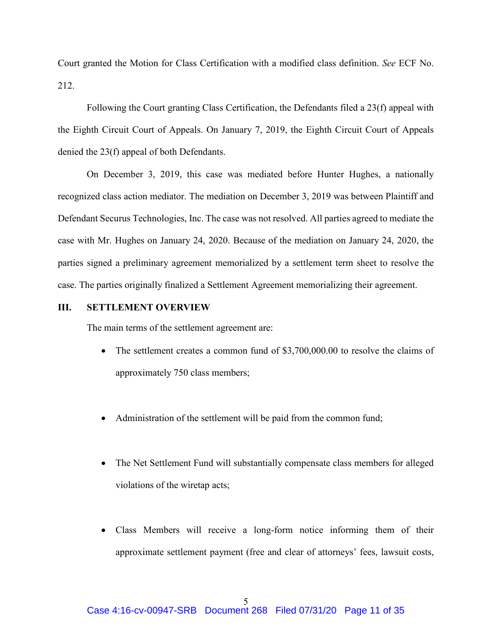Court granted the Motion for Class Certification with a modified class definition. *See* ECF No. 212.

Following the Court granting Class Certification, the Defendants filed a 23(f) appeal with the Eighth Circuit Court of Appeals. On January 7, 2019, the Eighth Circuit Court of Appeals denied the 23(f) appeal of both Defendants.

On December 3, 2019, this case was mediated before Hunter Hughes, a nationally recognized class action mediator. The mediation on December 3, 2019 was between Plaintiff and Defendant Securus Technologies, Inc. The case was not resolved. All parties agreed to mediate the case with Mr. Hughes on January 24, 2020. Because of the mediation on January 24, 2020, the parties signed a preliminary agreement memorialized by a settlement term sheet to resolve the case. The parties originally finalized a Settlement Agreement memorializing their agreement.

## <span id="page-10-0"></span>**III. SETTLEMENT OVERVIEW**

The main terms of the settlement agreement are:

- The settlement creates a common fund of \$3,700,000.00 to resolve the claims of approximately 750 class members;
- Administration of the settlement will be paid from the common fund;
- The Net Settlement Fund will substantially compensate class members for alleged violations of the wiretap acts;
- Class Members will receive a long-form notice informing them of their approximate settlement payment (free and clear of attorneys' fees, lawsuit costs,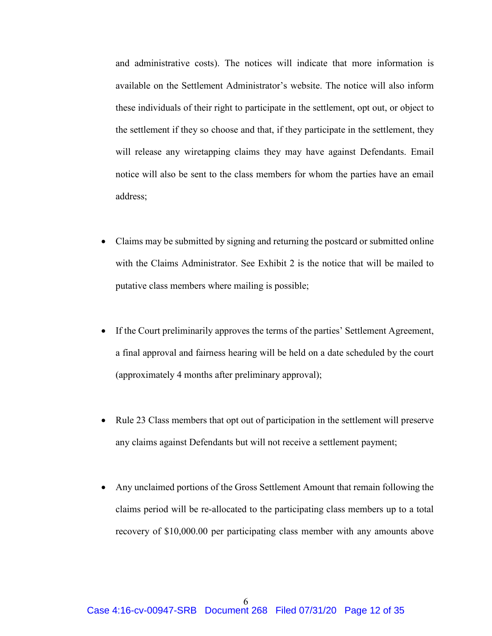and administrative costs). The notices will indicate that more information is available on the Settlement Administrator's website. The notice will also inform these individuals of their right to participate in the settlement, opt out, or object to the settlement if they so choose and that, if they participate in the settlement, they will release any wiretapping claims they may have against Defendants. Email notice will also be sent to the class members for whom the parties have an email address;

- Claims may be submitted by signing and returning the postcard or submitted online with the Claims Administrator. See Exhibit 2 is the notice that will be mailed to putative class members where mailing is possible;
- If the Court preliminarily approves the terms of the parties' Settlement Agreement, a final approval and fairness hearing will be held on a date scheduled by the court (approximately 4 months after preliminary approval);
- Rule 23 Class members that opt out of participation in the settlement will preserve any claims against Defendants but will not receive a settlement payment;
- Any unclaimed portions of the Gross Settlement Amount that remain following the claims period will be re-allocated to the participating class members up to a total recovery of \$10,000.00 per participating class member with any amounts above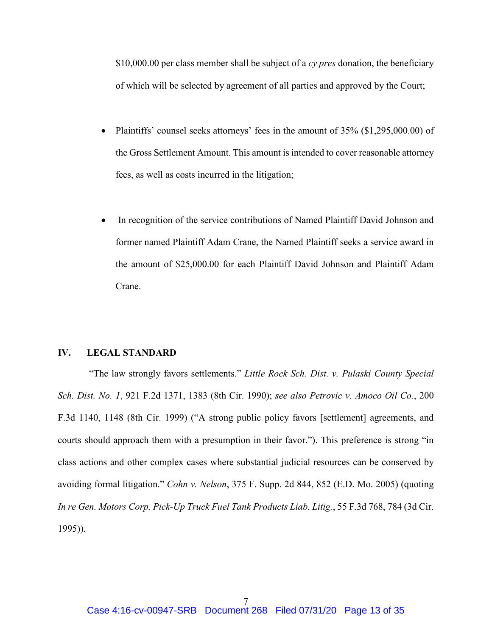\$10,000.00 per class member shall be subject of a *cy pres* donation, the beneficiary of which will be selected by agreement of all parties and approved by the Court;

- Plaintiffs' counsel seeks attorneys' fees in the amount of 35% (\$1,295,000.00) of the Gross Settlement Amount. This amount is intended to cover reasonable attorney fees, as well as costs incurred in the litigation;
- In recognition of the service contributions of Named Plaintiff David Johnson and former named Plaintiff Adam Crane, the Named Plaintiff seeks a service award in the amount of \$25,000.00 for each Plaintiff David Johnson and Plaintiff Adam Crane.

### <span id="page-12-0"></span>**IV. LEGAL STANDARD**

"The law strongly favors settlements." *Little Rock Sch. Dist. v. Pulaski County Special Sch. Dist. No. 1*, 921 F.2d 1371, 1383 (8th Cir. 1990); *see also Petrovic v. Amoco Oil Co.*, 200 F.3d 1140, 1148 (8th Cir. 1999) ("A strong public policy favors [settlement] agreements, and courts should approach them with a presumption in their favor."). This preference is strong "in class actions and other complex cases where substantial judicial resources can be conserved by avoiding formal litigation." *Cohn v. Nelson*, 375 F. Supp. 2d 844, 852 (E.D. Mo. 2005) (quoting *In re Gen. Motors Corp. Pick-Up Truck Fuel Tank Products Liab. Litig.*, 55 F.3d 768, 784 (3d Cir. 1995)).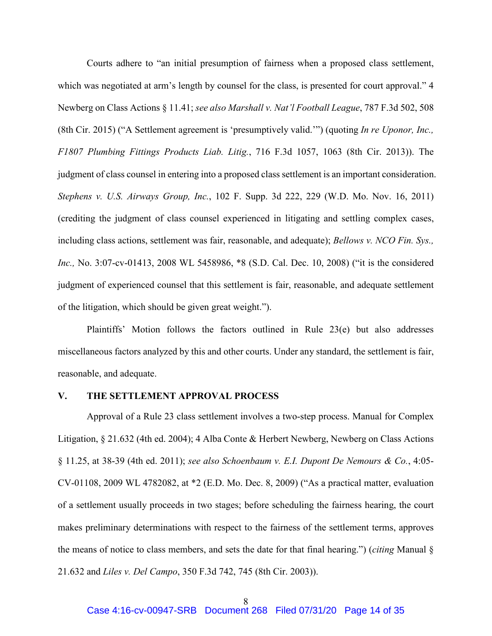Courts adhere to "an initial presumption of fairness when a proposed class settlement, which was negotiated at arm's length by counsel for the class, is presented for court approval." 4 Newberg on Class Actions § 11.41; *see also Marshall v. Nat'l Football League*, 787 F.3d 502, 508 (8th Cir. 2015) ("A Settlement agreement is 'presumptively valid.'") (quoting *In re Uponor, Inc., F1807 Plumbing Fittings Products Liab. Litig.*, 716 F.3d 1057, 1063 (8th Cir. 2013)). The judgment of class counsel in entering into a proposed class settlement is an important consideration. *Stephens v. U.S. Airways Group, Inc.*, 102 F. Supp. 3d 222, 229 (W.D. Mo. Nov. 16, 2011) (crediting the judgment of class counsel experienced in litigating and settling complex cases, including class actions, settlement was fair, reasonable, and adequate); *Bellows v. NCO Fin. Sys., Inc.,* No. 3:07-cv-01413, 2008 WL 5458986, \*8 (S.D. Cal. Dec. 10, 2008) ("it is the considered judgment of experienced counsel that this settlement is fair, reasonable, and adequate settlement of the litigation, which should be given great weight.").

Plaintiffs' Motion follows the factors outlined in Rule 23(e) but also addresses miscellaneous factors analyzed by this and other courts. Under any standard, the settlement is fair, reasonable, and adequate.

#### <span id="page-13-0"></span>**V. THE SETTLEMENT APPROVAL PROCESS**

Approval of a Rule 23 class settlement involves a two-step process. Manual for Complex Litigation, § 21.632 (4th ed. 2004); 4 Alba Conte & Herbert Newberg, Newberg on Class Actions § 11.25, at 38-39 (4th ed. 2011); *see also Schoenbaum v. E.I. Dupont De Nemours & Co.*, 4:05- CV-01108, 2009 WL 4782082, at \*2 (E.D. Mo. Dec. 8, 2009) ("As a practical matter, evaluation of a settlement usually proceeds in two stages; before scheduling the fairness hearing, the court makes preliminary determinations with respect to the fairness of the settlement terms, approves the means of notice to class members, and sets the date for that final hearing.") (*citing* Manual § 21.632 and *Liles v. Del Campo*, 350 F.3d 742, 745 (8th Cir. 2003)).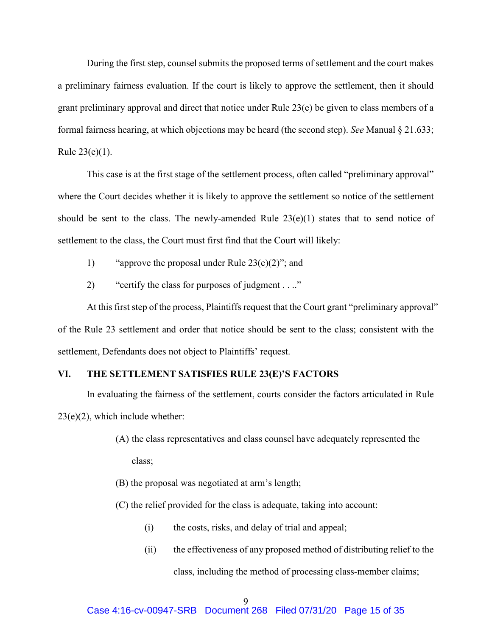During the first step, counsel submits the proposed terms of settlement and the court makes a preliminary fairness evaluation. If the court is likely to approve the settlement, then it should grant preliminary approval and direct that notice under Rule 23(e) be given to class members of a formal fairness hearing, at which objections may be heard (the second step). *See* Manual § 21.633; Rule 23(e)(1).

This case is at the first stage of the settlement process, often called "preliminary approval" where the Court decides whether it is likely to approve the settlement so notice of the settlement should be sent to the class. The newly-amended Rule  $23(e)(1)$  states that to send notice of settlement to the class, the Court must first find that the Court will likely:

- 1) "approve the proposal under Rule 23(e)(2)"; and
- 2) "certify the class for purposes of judgment . . .."

At this first step of the process, Plaintiffs request that the Court grant "preliminary approval" of the Rule 23 settlement and order that notice should be sent to the class; consistent with the settlement, Defendants does not object to Plaintiffs' request.

## <span id="page-14-0"></span>**VI. THE SETTLEMENT SATISFIES RULE 23(E)'S FACTORS**

In evaluating the fairness of the settlement, courts consider the factors articulated in Rule  $23(e)(2)$ , which include whether:

- (A) the class representatives and class counsel have adequately represented the class;
- (B) the proposal was negotiated at arm's length;
- (C) the relief provided for the class is adequate, taking into account:
	- (i) the costs, risks, and delay of trial and appeal;
	- (ii) the effectiveness of any proposed method of distributing relief to the class, including the method of processing class-member claims;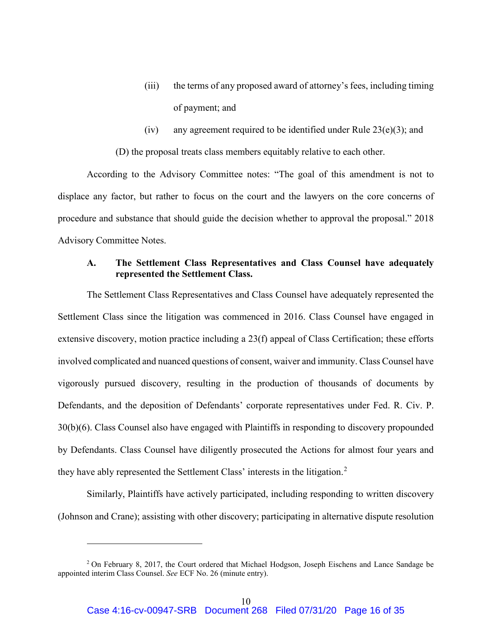- (iii) the terms of any proposed award of attorney's fees, including timing of payment; and
- (iv) any agreement required to be identified under Rule  $23(e)(3)$ ; and

(D) the proposal treats class members equitably relative to each other.

According to the Advisory Committee notes: "The goal of this amendment is not to displace any factor, but rather to focus on the court and the lawyers on the core concerns of procedure and substance that should guide the decision whether to approval the proposal." 2018 Advisory Committee Notes.

## <span id="page-15-0"></span>**A. The Settlement Class Representatives and Class Counsel have adequately represented the Settlement Class.**

The Settlement Class Representatives and Class Counsel have adequately represented the Settlement Class since the litigation was commenced in 2016. Class Counsel have engaged in extensive discovery, motion practice including a 23(f) appeal of Class Certification; these efforts involved complicated and nuanced questions of consent, waiver and immunity. Class Counsel have vigorously pursued discovery, resulting in the production of thousands of documents by Defendants, and the deposition of Defendants' corporate representatives under Fed. R. Civ. P. 30(b)(6). Class Counsel also have engaged with Plaintiffs in responding to discovery propounded by Defendants. Class Counsel have diligently prosecuted the Actions for almost four years and they have ably represented the Settlement Class' interests in the litigation.<sup>[2](#page-15-1)</sup>

Similarly, Plaintiffs have actively participated, including responding to written discovery (Johnson and Crane); assisting with other discovery; participating in alternative dispute resolution

 $\overline{a}$ 

<span id="page-15-1"></span><sup>&</sup>lt;sup>2</sup> On February 8, 2017, the Court ordered that Michael Hodgson, Joseph Eischens and Lance Sandage be appointed interim Class Counsel. *See* ECF No. 26 (minute entry).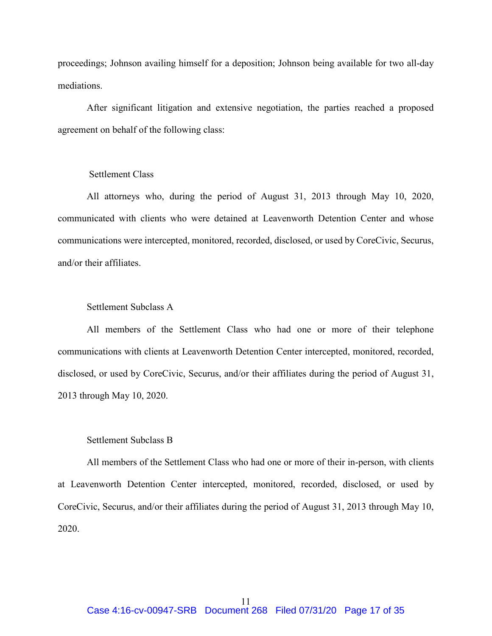proceedings; Johnson availing himself for a deposition; Johnson being available for two all-day mediations.

After significant litigation and extensive negotiation, the parties reached a proposed agreement on behalf of the following class:

# Settlement Class

All attorneys who, during the period of August 31, 2013 through May 10, 2020, communicated with clients who were detained at Leavenworth Detention Center and whose communications were intercepted, monitored, recorded, disclosed, or used by CoreCivic, Securus, and/or their affiliates.

# Settlement Subclass A

All members of the Settlement Class who had one or more of their telephone communications with clients at Leavenworth Detention Center intercepted, monitored, recorded, disclosed, or used by CoreCivic, Securus, and/or their affiliates during the period of August 31, 2013 through May 10, 2020.

#### Settlement Subclass B

All members of the Settlement Class who had one or more of their in-person, with clients at Leavenworth Detention Center intercepted, monitored, recorded, disclosed, or used by CoreCivic, Securus, and/or their affiliates during the period of August 31, 2013 through May 10, 2020.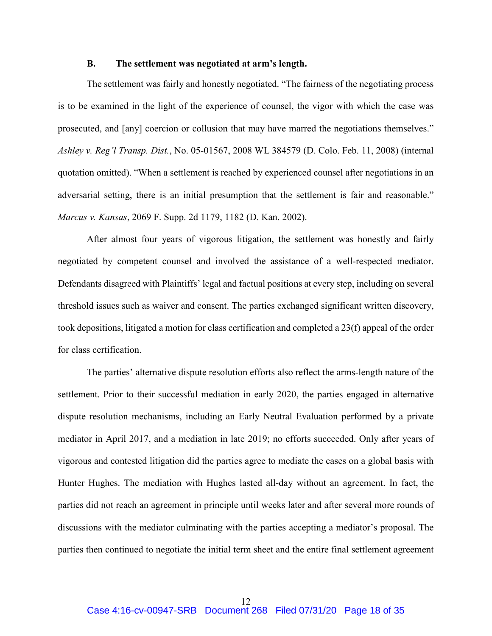#### **B. The settlement was negotiated at arm's length.**

<span id="page-17-0"></span>The settlement was fairly and honestly negotiated. "The fairness of the negotiating process is to be examined in the light of the experience of counsel, the vigor with which the case was prosecuted, and [any] coercion or collusion that may have marred the negotiations themselves." *Ashley v. Reg'l Transp. Dist.*, No. 05-01567, 2008 WL 384579 (D. Colo. Feb. 11, 2008) (internal quotation omitted). "When a settlement is reached by experienced counsel after negotiations in an adversarial setting, there is an initial presumption that the settlement is fair and reasonable." *Marcus v. Kansas*, 2069 F. Supp. 2d 1179, 1182 (D. Kan. 2002).

After almost four years of vigorous litigation, the settlement was honestly and fairly negotiated by competent counsel and involved the assistance of a well-respected mediator. Defendants disagreed with Plaintiffs' legal and factual positions at every step, including on several threshold issues such as waiver and consent. The parties exchanged significant written discovery, took depositions, litigated a motion for class certification and completed a 23(f) appeal of the order for class certification.

The parties' alternative dispute resolution efforts also reflect the arms-length nature of the settlement. Prior to their successful mediation in early 2020, the parties engaged in alternative dispute resolution mechanisms, including an Early Neutral Evaluation performed by a private mediator in April 2017, and a mediation in late 2019; no efforts succeeded. Only after years of vigorous and contested litigation did the parties agree to mediate the cases on a global basis with Hunter Hughes. The mediation with Hughes lasted all-day without an agreement. In fact, the parties did not reach an agreement in principle until weeks later and after several more rounds of discussions with the mediator culminating with the parties accepting a mediator's proposal. The parties then continued to negotiate the initial term sheet and the entire final settlement agreement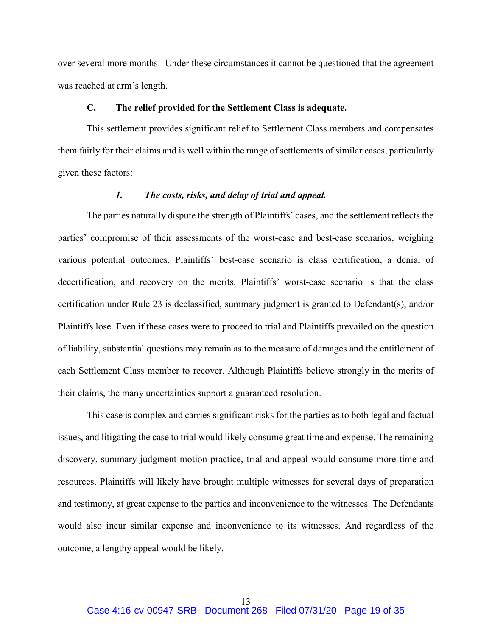over several more months. Under these circumstances it cannot be questioned that the agreement was reached at arm's length.

## **C. The relief provided for the Settlement Class is adequate.**

<span id="page-18-0"></span>This settlement provides significant relief to Settlement Class members and compensates them fairly for their claims and is well within the range of settlements of similar cases, particularly given these factors:

## *1. The costs, risks, and delay of trial and appeal.*

<span id="page-18-1"></span>The parties naturally dispute the strength of Plaintiffs' cases, and the settlement reflects the parties' compromise of their assessments of the worst-case and best-case scenarios, weighing various potential outcomes. Plaintiffs' best-case scenario is class certification, a denial of decertification, and recovery on the merits. Plaintiffs' worst-case scenario is that the class certification under Rule 23 is declassified, summary judgment is granted to Defendant(s), and/or Plaintiffs lose. Even if these cases were to proceed to trial and Plaintiffs prevailed on the question of liability, substantial questions may remain as to the measure of damages and the entitlement of each Settlement Class member to recover. Although Plaintiffs believe strongly in the merits of their claims, the many uncertainties support a guaranteed resolution.

This case is complex and carries significant risks for the parties as to both legal and factual issues, and litigating the case to trial would likely consume great time and expense. The remaining discovery, summary judgment motion practice, trial and appeal would consume more time and resources. Plaintiffs will likely have brought multiple witnesses for several days of preparation and testimony, at great expense to the parties and inconvenience to the witnesses. The Defendants would also incur similar expense and inconvenience to its witnesses. And regardless of the outcome, a lengthy appeal would be likely.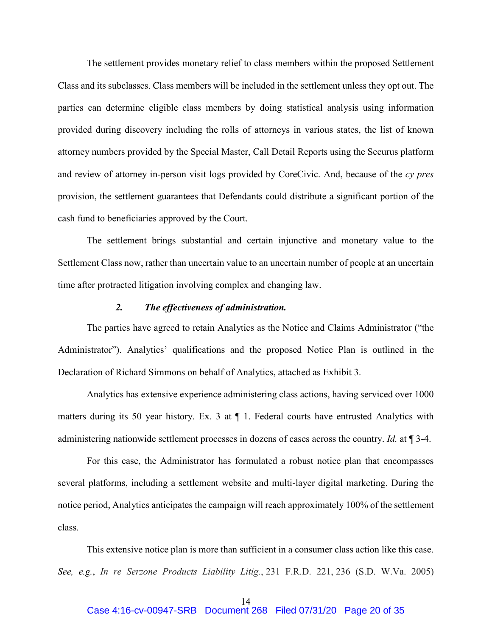The settlement provides monetary relief to class members within the proposed Settlement Class and its subclasses. Class members will be included in the settlement unless they opt out. The parties can determine eligible class members by doing statistical analysis using information provided during discovery including the rolls of attorneys in various states, the list of known attorney numbers provided by the Special Master, Call Detail Reports using the Securus platform and review of attorney in-person visit logs provided by CoreCivic. And, because of the *cy pres* provision, the settlement guarantees that Defendants could distribute a significant portion of the cash fund to beneficiaries approved by the Court.

The settlement brings substantial and certain injunctive and monetary value to the Settlement Class now, rather than uncertain value to an uncertain number of people at an uncertain time after protracted litigation involving complex and changing law.

#### *2. The effectiveness of administration.*

<span id="page-19-0"></span>The parties have agreed to retain Analytics as the Notice and Claims Administrator ("the Administrator"). Analytics' qualifications and the proposed Notice Plan is outlined in the Declaration of Richard Simmons on behalf of Analytics, attached as Exhibit 3.

Analytics has extensive experience administering class actions, having serviced over 1000 matters during its 50 year history. Ex. 3 at  $\P$  1. Federal courts have entrusted Analytics with administering nationwide settlement processes in dozens of cases across the country. *Id.* at ¶ 3-4.

For this case, the Administrator has formulated a robust notice plan that encompasses several platforms, including a settlement website and multi-layer digital marketing. During the notice period, Analytics anticipates the campaign will reach approximately 100% of the settlement class.

This extensive notice plan is more than sufficient in a consumer class action like this case. *See, e.g.*, *In re Serzone Products Liability Litig.*, 231 F.R.D. 221, 236 (S.D. W.Va. 2005)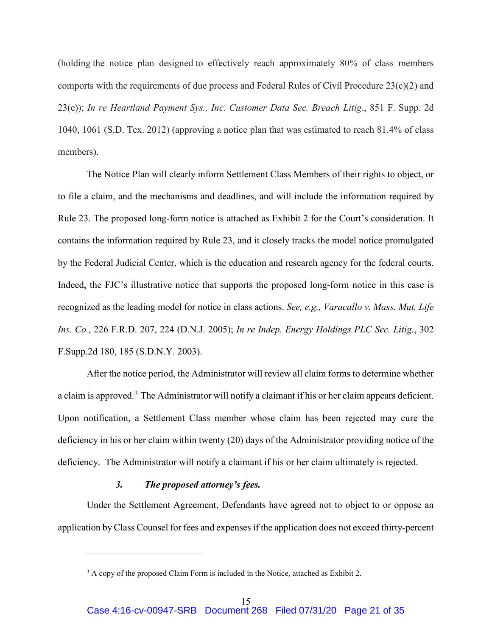(holding the notice plan designed to effectively reach approximately 80% of class members comports with the requirements of due process and Federal Rules of Civil Procedure 23(c)(2) and 23(e)); *In re Heartland Payment Sys., Inc. Customer Data Sec. Breach Litig.*, 851 F. Supp. 2d 1040, 1061 (S.D. Tex. 2012) (approving a notice plan that was estimated to reach 81.4% of class members).

The Notice Plan will clearly inform Settlement Class Members of their rights to object, or to file a claim, and the mechanisms and deadlines, and will include the information required by Rule 23. The proposed long-form notice is attached as Exhibit 2 for the Court's consideration. It contains the information required by Rule 23, and it closely tracks the model notice promulgated by the Federal Judicial Center, which is the education and research agency for the federal courts. Indeed, the FJC's illustrative notice that supports the proposed long-form notice in this case is recognized as the leading model for notice in class actions. *See, e.g., Varacallo v. Mass. Mut. Life Ins. Co.*, 226 F.R.D. 207, 224 (D.N.J. 2005); *In re Indep. Energy Holdings PLC Sec. Litig.*, 302 F.Supp.2d 180, 185 (S.D.N.Y. 2003).

After the notice period, the Administrator will review all claim forms to determine whether a claim is approved.<sup>[3](#page-20-1)</sup> The Administrator will notify a claimant if his or her claim appears deficient. Upon notification, a Settlement Class member whose claim has been rejected may cure the deficiency in his or her claim within twenty (20) days of the Administrator providing notice of the deficiency. The Administrator will notify a claimant if his or her claim ultimately is rejected.

## *3. The proposed attorney's fees.*

 $\overline{a}$ 

<span id="page-20-0"></span>Under the Settlement Agreement, Defendants have agreed not to object to or oppose an application by Class Counsel for fees and expenses if the application does not exceed thirty-percent

<span id="page-20-1"></span><sup>&</sup>lt;sup>3</sup> A copy of the proposed Claim Form is included in the Notice, attached as Exhibit 2.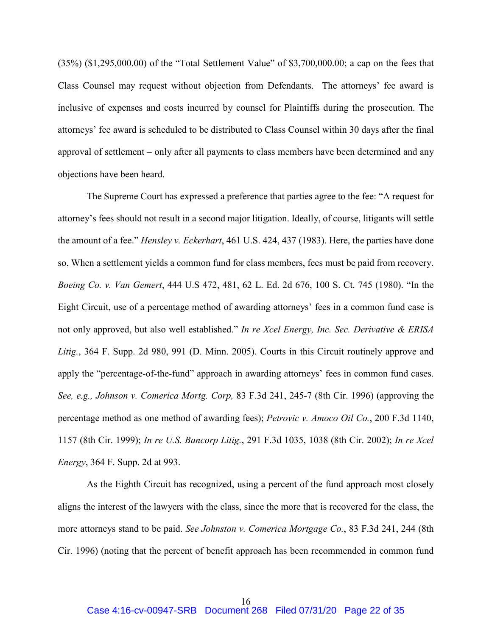(35%) (\$1,295,000.00) of the "Total Settlement Value" of \$3,700,000.00; a cap on the fees that Class Counsel may request without objection from Defendants. The attorneys' fee award is inclusive of expenses and costs incurred by counsel for Plaintiffs during the prosecution. The attorneys' fee award is scheduled to be distributed to Class Counsel within 30 days after the final approval of settlement – only after all payments to class members have been determined and any objections have been heard.

The Supreme Court has expressed a preference that parties agree to the fee: "A request for attorney's fees should not result in a second major litigation. Ideally, of course, litigants will settle the amount of a fee." *Hensley v. Eckerhart*, 461 U.S. 424, 437 (1983). Here, the parties have done so. When a settlement yields a common fund for class members, fees must be paid from recovery. *Boeing Co. v. Van Gemert*, 444 U.S 472, 481, 62 L. Ed. 2d 676, 100 S. Ct. 745 (1980). "In the Eight Circuit, use of a percentage method of awarding attorneys' fees in a common fund case is not only approved, but also well established." *In re Xcel Energy, Inc. Sec. Derivative & ERISA Litig.*, 364 F. Supp. 2d 980, 991 (D. Minn. 2005). Courts in this Circuit routinely approve and apply the "percentage-of-the-fund" approach in awarding attorneys' fees in common fund cases. *See, e.g., Johnson v. Comerica Mortg. Corp,* 83 F.3d 241, 245-7 (8th Cir. 1996) (approving the percentage method as one method of awarding fees); *Petrovic v. Amoco Oil Co.*, 200 F.3d 1140, 1157 (8th Cir. 1999); *In re U.S. Bancorp Litig.*, 291 F.3d 1035, 1038 (8th Cir. 2002); *In re Xcel Energy*, 364 F. Supp. 2d at 993.

As the Eighth Circuit has recognized, using a percent of the fund approach most closely aligns the interest of the lawyers with the class, since the more that is recovered for the class, the more attorneys stand to be paid. *See Johnston v. Comerica Mortgage Co.*, 83 F.3d 241, 244 (8th Cir. 1996) (noting that the percent of benefit approach has been recommended in common fund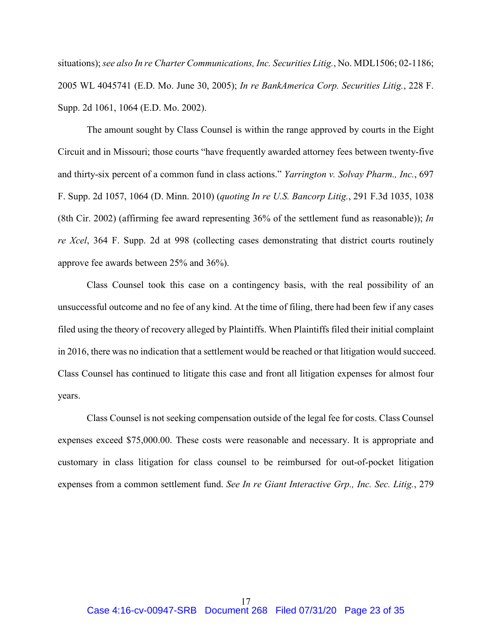situations); *see also In re Charter Communications, Inc. Securities Litig.*, No. MDL1506; 02-1186; 2005 WL 4045741 (E.D. Mo. June 30, 2005); *In re BankAmerica Corp. Securities Litig.*, 228 F. Supp. 2d 1061, 1064 (E.D. Mo. 2002).

The amount sought by Class Counsel is within the range approved by courts in the Eight Circuit and in Missouri; those courts "have frequently awarded attorney fees between twenty-five and thirty-six percent of a common fund in class actions." *Yarrington v. Solvay Pharm., Inc.*, 697 F. Supp. 2d 1057, 1064 (D. Minn. 2010) (*quoting In re U.S. Bancorp Litig.*, 291 F.3d 1035, 1038 (8th Cir. 2002) (affirming fee award representing 36% of the settlement fund as reasonable)); *In re Xcel*, 364 F. Supp. 2d at 998 (collecting cases demonstrating that district courts routinely approve fee awards between 25% and 36%).

Class Counsel took this case on a contingency basis, with the real possibility of an unsuccessful outcome and no fee of any kind. At the time of filing, there had been few if any cases filed using the theory of recovery alleged by Plaintiffs. When Plaintiffs filed their initial complaint in 2016, there was no indication that a settlement would be reached or that litigation would succeed. Class Counsel has continued to litigate this case and front all litigation expenses for almost four years.

Class Counsel is not seeking compensation outside of the legal fee for costs. Class Counsel expenses exceed \$75,000.00. These costs were reasonable and necessary. It is appropriate and customary in class litigation for class counsel to be reimbursed for out-of-pocket litigation expenses from a common settlement fund. *See In re Giant Interactive Grp., Inc. Sec. Litig.*, 279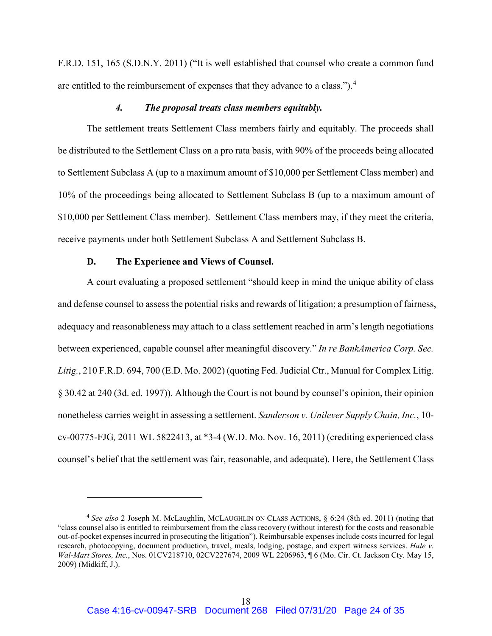F.R.D. 151, 165 (S.D.N.Y. 2011) ("It is well established that counsel who create a common fund are entitled to the reimbursement of expenses that they advance to a class.").[4](#page-23-2)

#### *4. The proposal treats class members equitably.*

<span id="page-23-0"></span>The settlement treats Settlement Class members fairly and equitably. The proceeds shall be distributed to the Settlement Class on a pro rata basis, with 90% of the proceeds being allocated to Settlement Subclass A (up to a maximum amount of \$10,000 per Settlement Class member) and 10% of the proceedings being allocated to Settlement Subclass B (up to a maximum amount of \$10,000 per Settlement Class member). Settlement Class members may, if they meet the criteria, receive payments under both Settlement Subclass A and Settlement Subclass B.

## **D. The Experience and Views of Counsel.**

 $\overline{a}$ 

<span id="page-23-1"></span>A court evaluating a proposed settlement "should keep in mind the unique ability of class and defense counsel to assess the potential risks and rewards of litigation; a presumption of fairness, adequacy and reasonableness may attach to a class settlement reached in arm's length negotiations between experienced, capable counsel after meaningful discovery." *In re BankAmerica Corp. Sec. Litig.*, 210 F.R.D. 694, 700 (E.D. Mo. 2002) (quoting Fed. Judicial Ctr., Manual for Complex Litig. § 30.42 at 240 (3d. ed. 1997)). Although the Court is not bound by counsel's opinion, their opinion nonetheless carries weight in assessing a settlement. *Sanderson v. Unilever Supply Chain, Inc.*, 10 cv-00775-FJG*,* 2011 WL 5822413, at \*3-4 (W.D. Mo. Nov. 16, 2011) (crediting experienced class counsel's belief that the settlement was fair, reasonable, and adequate). Here, the Settlement Class

<span id="page-23-2"></span><sup>4</sup> *See also* 2 Joseph M. McLaughlin, MCLAUGHLIN ON CLASS ACTIONS, § 6:24 (8th ed. 2011) (noting that "class counsel also is entitled to reimbursement from the class recovery (without interest) for the costs and reasonable out-of-pocket expenses incurred in prosecuting the litigation"). Reimbursable expenses include costs incurred for legal research, photocopying, document production, travel, meals, lodging, postage, and expert witness services. *Hale v. Wal-Mart Stores, Inc.*, Nos. 01CV218710, 02CV227674, 2009 WL 2206963, ¶ 6 (Mo. Cir. Ct. Jackson Cty. May 15, 2009) (Midkiff, J.).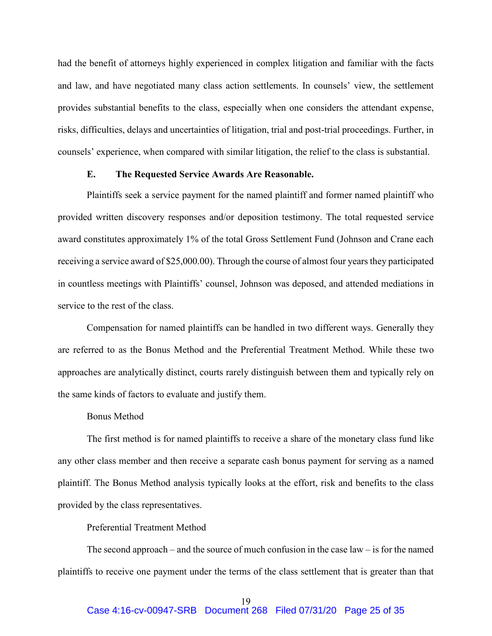had the benefit of attorneys highly experienced in complex litigation and familiar with the facts and law, and have negotiated many class action settlements. In counsels' view, the settlement provides substantial benefits to the class, especially when one considers the attendant expense, risks, difficulties, delays and uncertainties of litigation, trial and post-trial proceedings. Further, in counsels' experience, when compared with similar litigation, the relief to the class is substantial.

## **E. The Requested Service Awards Are Reasonable.**

<span id="page-24-0"></span>Plaintiffs seek a service payment for the named plaintiff and former named plaintiff who provided written discovery responses and/or deposition testimony. The total requested service award constitutes approximately 1% of the total Gross Settlement Fund (Johnson and Crane each receiving a service award of \$25,000.00). Through the course of almost four years they participated in countless meetings with Plaintiffs' counsel, Johnson was deposed, and attended mediations in service to the rest of the class.

Compensation for named plaintiffs can be handled in two different ways. Generally they are referred to as the Bonus Method and the Preferential Treatment Method. While these two approaches are analytically distinct, courts rarely distinguish between them and typically rely on the same kinds of factors to evaluate and justify them.

## Bonus Method

The first method is for named plaintiffs to receive a share of the monetary class fund like any other class member and then receive a separate cash bonus payment for serving as a named plaintiff. The Bonus Method analysis typically looks at the effort, risk and benefits to the class provided by the class representatives.

# Preferential Treatment Method

The second approach – and the source of much confusion in the case law – is for the named plaintiffs to receive one payment under the terms of the class settlement that is greater than that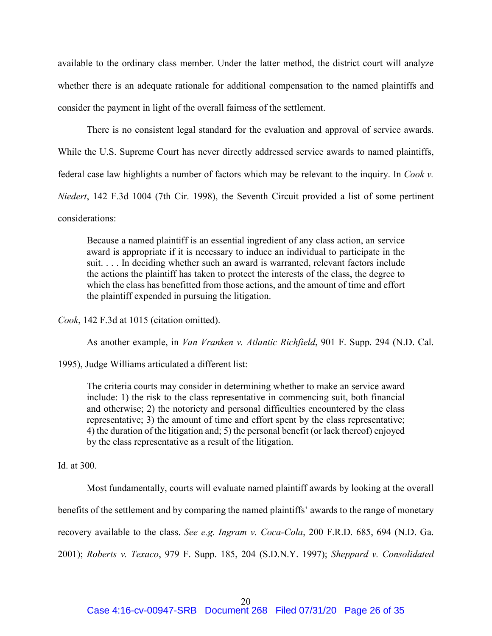available to the ordinary class member. Under the latter method, the district court will analyze whether there is an adequate rationale for additional compensation to the named plaintiffs and consider the payment in light of the overall fairness of the settlement.

There is no consistent legal standard for the evaluation and approval of service awards. While the U.S. Supreme Court has never directly addressed service awards to named plaintiffs, federal case law highlights a number of factors which may be relevant to the inquiry. In *Cook v. Niedert*, 142 F.3d 1004 (7th Cir. 1998), the Seventh Circuit provided a list of some pertinent considerations:

Because a named plaintiff is an essential ingredient of any class action, an service award is appropriate if it is necessary to induce an individual to participate in the suit. . . . In deciding whether such an award is warranted, relevant factors include the actions the plaintiff has taken to protect the interests of the class, the degree to which the class has benefitted from those actions, and the amount of time and effort the plaintiff expended in pursuing the litigation.

*Cook*, 142 F.3d at 1015 (citation omitted).

As another example, in *Van Vranken v. Atlantic Richfield*, 901 F. Supp. 294 (N.D. Cal.

1995), Judge Williams articulated a different list:

The criteria courts may consider in determining whether to make an service award include: 1) the risk to the class representative in commencing suit, both financial and otherwise; 2) the notoriety and personal difficulties encountered by the class representative; 3) the amount of time and effort spent by the class representative; 4) the duration of the litigation and; 5) the personal benefit (or lack thereof) enjoyed by the class representative as a result of the litigation.

Id. at 300.

Most fundamentally, courts will evaluate named plaintiff awards by looking at the overall benefits of the settlement and by comparing the named plaintiffs' awards to the range of monetary recovery available to the class. *See e.g. Ingram v. Coca-Cola*, 200 F.R.D. 685, 694 (N.D. Ga. 2001); *Roberts v. Texaco*, 979 F. Supp. 185, 204 (S.D.N.Y. 1997); *Sheppard v. Consolidated*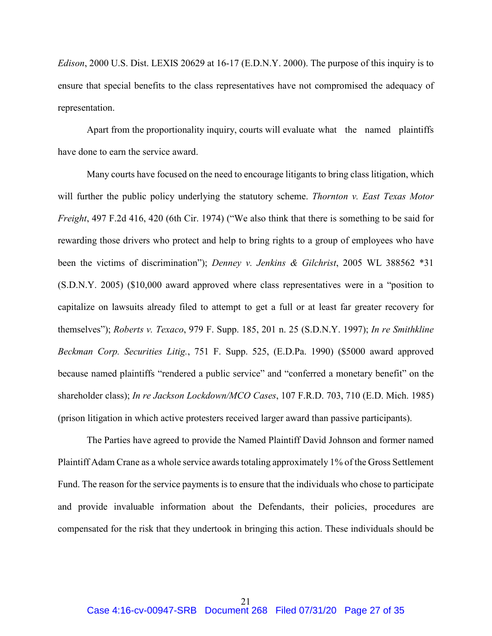*Edison*, 2000 U.S. Dist. LEXIS 20629 at 16-17 (E.D.N.Y. 2000). The purpose of this inquiry is to ensure that special benefits to the class representatives have not compromised the adequacy of representation.

Apart from the proportionality inquiry, courts will evaluate what the named plaintiffs have done to earn the service award.

Many courts have focused on the need to encourage litigants to bring class litigation, which will further the public policy underlying the statutory scheme. *Thornton v. East Texas Motor Freight*, 497 F.2d 416, 420 (6th Cir. 1974) ("We also think that there is something to be said for rewarding those drivers who protect and help to bring rights to a group of employees who have been the victims of discrimination"); *Denney v. Jenkins & Gilchrist*, 2005 WL 388562 \*31 (S.D.N.Y. 2005) (\$10,000 award approved where class representatives were in a "position to capitalize on lawsuits already filed to attempt to get a full or at least far greater recovery for themselves"); *Roberts v. Texaco*, 979 F. Supp. 185, 201 n. 25 (S.D.N.Y. 1997); *In re Smithkline Beckman Corp. Securities Litig.*, 751 F. Supp. 525, (E.D.Pa. 1990) (\$5000 award approved because named plaintiffs "rendered a public service" and "conferred a monetary benefit" on the shareholder class); *In re Jackson Lockdown/MCO Cases*, 107 F.R.D. 703, 710 (E.D. Mich. 1985) (prison litigation in which active protesters received larger award than passive participants).

The Parties have agreed to provide the Named Plaintiff David Johnson and former named Plaintiff Adam Crane as a whole service awards totaling approximately 1% of the Gross Settlement Fund. The reason for the service payments is to ensure that the individuals who chose to participate and provide invaluable information about the Defendants, their policies, procedures are compensated for the risk that they undertook in bringing this action. These individuals should be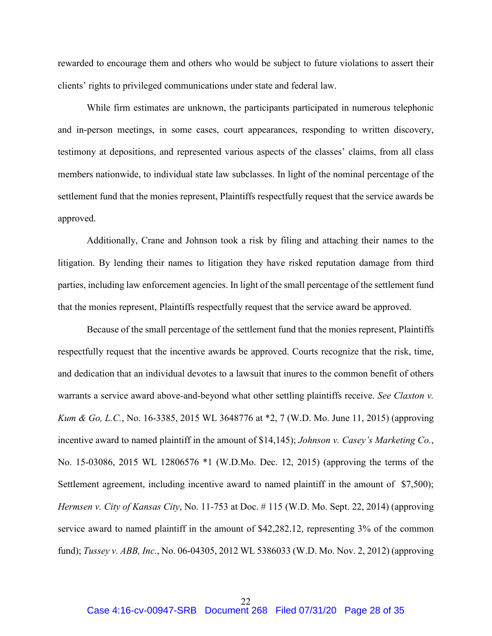rewarded to encourage them and others who would be subject to future violations to assert their clients' rights to privileged communications under state and federal law.

While firm estimates are unknown, the participants participated in numerous telephonic and in-person meetings, in some cases, court appearances, responding to written discovery, testimony at depositions, and represented various aspects of the classes' claims, from all class members nationwide, to individual state law subclasses. In light of the nominal percentage of the settlement fund that the monies represent, Plaintiffs respectfully request that the service awards be approved.

Additionally, Crane and Johnson took a risk by filing and attaching their names to the litigation. By lending their names to litigation they have risked reputation damage from third parties, including law enforcement agencies. In light of the small percentage of the settlement fund that the monies represent, Plaintiffs respectfully request that the service award be approved.

Because of the small percentage of the settlement fund that the monies represent, Plaintiffs respectfully request that the incentive awards be approved. Courts recognize that the risk, time, and dedication that an individual devotes to a lawsuit that inures to the common benefit of others warrants a service award above-and-beyond what other settling plaintiffs receive. *See Claxton v. Kum & Go, L.C.*, No. 16-3385, 2015 WL 3648776 at \*2, 7 (W.D. Mo. June 11, 2015) (approving incentive award to named plaintiff in the amount of \$14,145); *Johnson v. Casey's Marketing Co.*, No. 15-03086, 2015 WL 12806576 \*1 (W.D.Mo. Dec. 12, 2015) (approving the terms of the Settlement agreement, including incentive award to named plaintiff in the amount of \$7,500); *Hermsen v. City of Kansas City*, No. 11-753 at Doc. # 115 (W.D. Mo. Sept. 22, 2014) (approving service award to named plaintiff in the amount of \$42,282.12, representing 3% of the common fund); *Tussey v. ABB, Inc.*, No. 06-04305, 2012 WL 5386033 (W.D. Mo. Nov. 2, 2012) (approving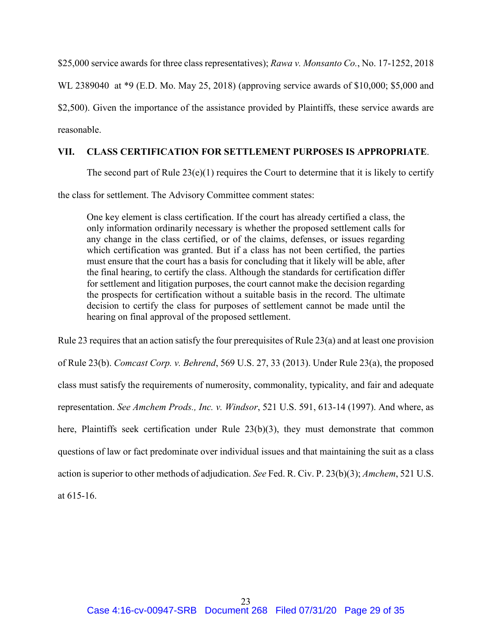\$25,000 service awards for three class representatives); *Rawa v. Monsanto Co.*, No. 17-1252, 2018

WL 2389040 at \*9 (E.D. Mo. May 25, 2018) (approving service awards of \$10,000; \$5,000 and

\$2,500). Given the importance of the assistance provided by Plaintiffs, these service awards are reasonable.

# <span id="page-28-0"></span>**VII. CLASS CERTIFICATION FOR SETTLEMENT PURPOSES IS APPROPRIATE**.

The second part of Rule  $23(e)(1)$  requires the Court to determine that it is likely to certify

the class for settlement. The Advisory Committee comment states:

One key element is class certification. If the court has already certified a class, the only information ordinarily necessary is whether the proposed settlement calls for any change in the class certified, or of the claims, defenses, or issues regarding which certification was granted. But if a class has not been certified, the parties must ensure that the court has a basis for concluding that it likely will be able, after the final hearing, to certify the class. Although the standards for certification differ for settlement and litigation purposes, the court cannot make the decision regarding the prospects for certification without a suitable basis in the record. The ultimate decision to certify the class for purposes of settlement cannot be made until the hearing on final approval of the proposed settlement.

Rule 23 requires that an action satisfy the four prerequisites of Rule 23(a) and at least one provision of Rule 23(b). *Comcast Corp. v. Behrend*, 569 U.S. 27, 33 (2013). Under Rule 23(a), the proposed class must satisfy the requirements of numerosity, commonality, typicality, and fair and adequate representation. *See Amchem Prods., Inc. v. Windsor*, 521 U.S. 591, 613-14 (1997). And where, as here, Plaintiffs seek certification under Rule 23(b)(3), they must demonstrate that common questions of law or fact predominate over individual issues and that maintaining the suit as a class action is superior to other methods of adjudication. *See* Fed. R. Civ. P. 23(b)(3); *Amchem*, 521 U.S. at 615-16.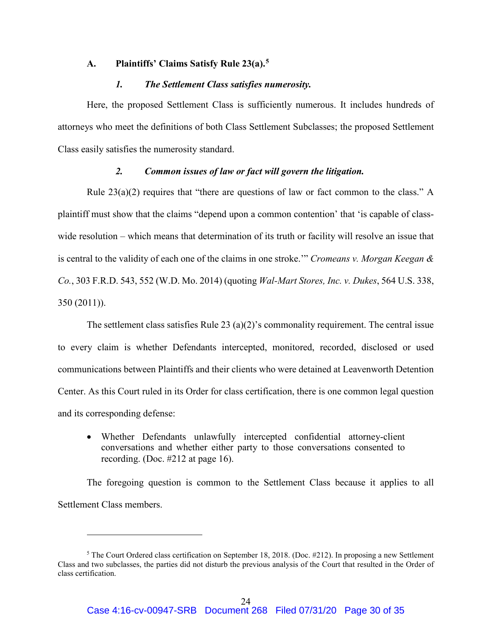## <span id="page-29-0"></span>**A. Plaintiffs' Claims Satisfy Rule 23(a). [5](#page-29-3)**

### *1. The Settlement Class satisfies numerosity.*

<span id="page-29-1"></span>Here, the proposed Settlement Class is sufficiently numerous. It includes hundreds of attorneys who meet the definitions of both Class Settlement Subclasses; the proposed Settlement Class easily satisfies the numerosity standard.

### *2. Common issues of law or fact will govern the litigation.*

<span id="page-29-2"></span>Rule  $23(a)(2)$  requires that "there are questions of law or fact common to the class." A plaintiff must show that the claims "depend upon a common contention' that 'is capable of classwide resolution – which means that determination of its truth or facility will resolve an issue that is central to the validity of each one of the claims in one stroke.'" *Cromeans v. Morgan Keegan & Co.*, 303 F.R.D. 543, 552 (W.D. Mo. 2014) (quoting *Wal-Mart Stores, Inc. v. Dukes*, 564 U.S. 338, 350 (2011)).

The settlement class satisfies Rule 23 (a)(2)'s commonality requirement. The central issue to every claim is whether Defendants intercepted, monitored, recorded, disclosed or used communications between Plaintiffs and their clients who were detained at Leavenworth Detention Center. As this Court ruled in its Order for class certification, there is one common legal question and its corresponding defense:

• Whether Defendants unlawfully intercepted confidential attorney-client conversations and whether either party to those conversations consented to recording. (Doc. #212 at page 16).

The foregoing question is common to the Settlement Class because it applies to all Settlement Class members.

 $\overline{a}$ 

<span id="page-29-3"></span> $5$  The Court Ordered class certification on September 18, 2018. (Doc. #212). In proposing a new Settlement Class and two subclasses, the parties did not disturb the previous analysis of the Court that resulted in the Order of class certification.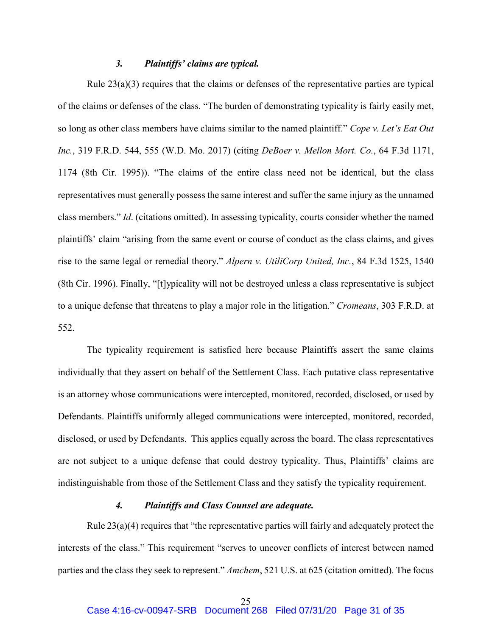### *3. Plaintiffs' claims are typical.*

<span id="page-30-0"></span>Rule  $23(a)(3)$  requires that the claims or defenses of the representative parties are typical of the claims or defenses of the class. "The burden of demonstrating typicality is fairly easily met, so long as other class members have claims similar to the named plaintiff." *Cope v. Let's Eat Out Inc.*, 319 F.R.D. 544, 555 (W.D. Mo. 2017) (citing *DeBoer v. Mellon Mort. Co.*, 64 F.3d 1171, 1174 (8th Cir. 1995)). "The claims of the entire class need not be identical, but the class representatives must generally possess the same interest and suffer the same injury as the unnamed class members." *Id*. (citations omitted). In assessing typicality, courts consider whether the named plaintiffs' claim "arising from the same event or course of conduct as the class claims, and gives rise to the same legal or remedial theory." *Alpern v. UtiliCorp United, Inc.*, 84 F.3d 1525, 1540 (8th Cir. 1996). Finally, "[t]ypicality will not be destroyed unless a class representative is subject to a unique defense that threatens to play a major role in the litigation." *Cromeans*, 303 F.R.D. at 552.

The typicality requirement is satisfied here because Plaintiffs assert the same claims individually that they assert on behalf of the Settlement Class. Each putative class representative is an attorney whose communications were intercepted, monitored, recorded, disclosed, or used by Defendants. Plaintiffs uniformly alleged communications were intercepted, monitored, recorded, disclosed, or used by Defendants. This applies equally across the board. The class representatives are not subject to a unique defense that could destroy typicality. Thus, Plaintiffs' claims are indistinguishable from those of the Settlement Class and they satisfy the typicality requirement.

## *4. Plaintiffs and Class Counsel are adequate.*

<span id="page-30-1"></span>Rule 23(a)(4) requires that "the representative parties will fairly and adequately protect the interests of the class." This requirement "serves to uncover conflicts of interest between named parties and the class they seek to represent." *Amchem*, 521 U.S. at 625 (citation omitted). The focus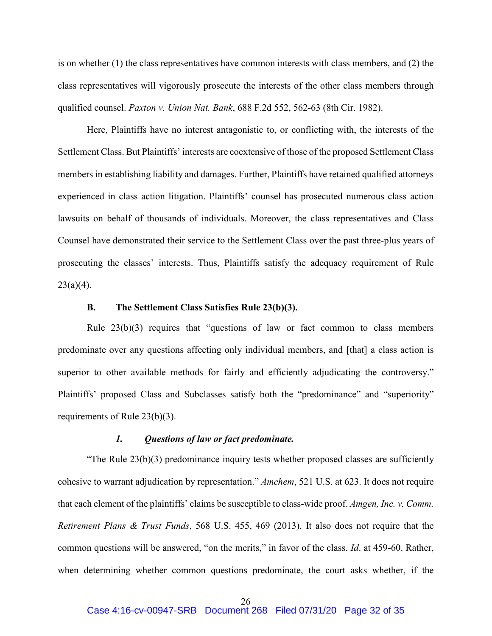is on whether (1) the class representatives have common interests with class members, and (2) the class representatives will vigorously prosecute the interests of the other class members through qualified counsel. *Paxton v. Union Nat. Bank*, 688 F.2d 552, 562-63 (8th Cir. 1982).

Here, Plaintiffs have no interest antagonistic to, or conflicting with, the interests of the Settlement Class. But Plaintiffs' interests are coextensive of those of the proposed Settlement Class members in establishing liability and damages. Further, Plaintiffs have retained qualified attorneys experienced in class action litigation. Plaintiffs' counsel has prosecuted numerous class action lawsuits on behalf of thousands of individuals. Moreover, the class representatives and Class Counsel have demonstrated their service to the Settlement Class over the past three-plus years of prosecuting the classes' interests. Thus, Plaintiffs satisfy the adequacy requirement of Rule  $23(a)(4)$ .

### **B. The Settlement Class Satisfies Rule 23(b)(3).**

<span id="page-31-0"></span>Rule 23(b)(3) requires that "questions of law or fact common to class members predominate over any questions affecting only individual members, and [that] a class action is superior to other available methods for fairly and efficiently adjudicating the controversy." Plaintiffs' proposed Class and Subclasses satisfy both the "predominance" and "superiority" requirements of Rule 23(b)(3).

### *1. Questions of law or fact predominate.*

<span id="page-31-1"></span>"The Rule 23(b)(3) predominance inquiry tests whether proposed classes are sufficiently cohesive to warrant adjudication by representation." *Amchem*, 521 U.S. at 623. It does not require that each element of the plaintiffs' claims be susceptible to class-wide proof. *Amgen, Inc. v. Comm. Retirement Plans & Trust Funds*, 568 U.S. 455, 469 (2013). It also does not require that the common questions will be answered, "on the merits," in favor of the class. *Id*. at 459-60. Rather, when determining whether common questions predominate, the court asks whether, if the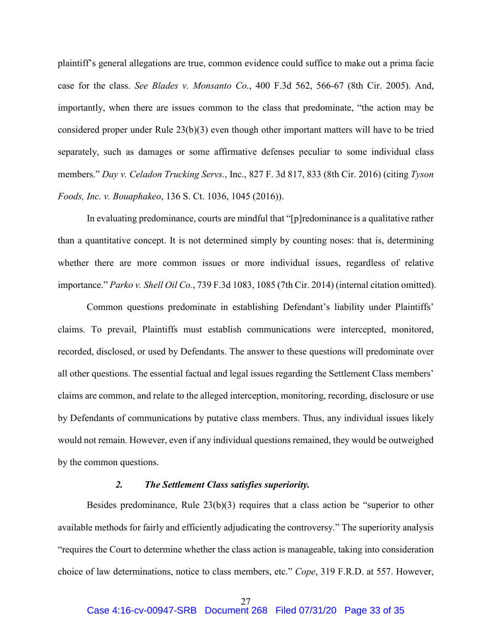plaintiff's general allegations are true, common evidence could suffice to make out a prima facie case for the class. *See Blades v. Monsanto Co.*, 400 F.3d 562, 566-67 (8th Cir. 2005). And, importantly, when there are issues common to the class that predominate, "the action may be considered proper under Rule 23(b)(3) even though other important matters will have to be tried separately, such as damages or some affirmative defenses peculiar to some individual class members." *Day v. Celadon Trucking Servs.*, Inc., 827 F. 3d 817, 833 (8th Cir. 2016) (citing *Tyson Foods, Inc. v. Bouaphakeo*, 136 S. Ct. 1036, 1045 (2016)).

In evaluating predominance, courts are mindful that "[p]redominance is a qualitative rather than a quantitative concept. It is not determined simply by counting noses: that is, determining whether there are more common issues or more individual issues, regardless of relative importance." *Parko v. Shell Oil Co.*, 739 F.3d 1083, 1085 (7th Cir. 2014) (internal citation omitted).

Common questions predominate in establishing Defendant's liability under Plaintiffs' claims. To prevail, Plaintiffs must establish communications were intercepted, monitored, recorded, disclosed, or used by Defendants. The answer to these questions will predominate over all other questions. The essential factual and legal issues regarding the Settlement Class members' claims are common, and relate to the alleged interception, monitoring, recording, disclosure or use by Defendants of communications by putative class members. Thus, any individual issues likely would not remain. However, even if any individual questions remained, they would be outweighed by the common questions.

### *2. The Settlement Class satisfies superiority.*

<span id="page-32-0"></span>Besides predominance, Rule 23(b)(3) requires that a class action be "superior to other available methods for fairly and efficiently adjudicating the controversy." The superiority analysis "requires the Court to determine whether the class action is manageable, taking into consideration choice of law determinations, notice to class members, etc." *Cope*, 319 F.R.D. at 557. However,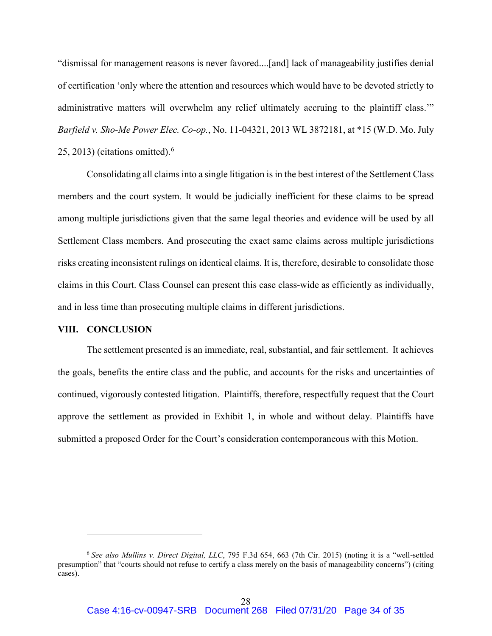"dismissal for management reasons is never favored....[and] lack of manageability justifies denial of certification 'only where the attention and resources which would have to be devoted strictly to administrative matters will overwhelm any relief ultimately accruing to the plaintiff class." *Barfield v. Sho-Me Power Elec. Co-op.*, No. 11-04321, 2013 WL 3872181, at \*15 (W.D. Mo. July 25, 2013) (citations omitted). $6$ 

Consolidating all claims into a single litigation is in the best interest of the Settlement Class members and the court system. It would be judicially inefficient for these claims to be spread among multiple jurisdictions given that the same legal theories and evidence will be used by all Settlement Class members. And prosecuting the exact same claims across multiple jurisdictions risks creating inconsistent rulings on identical claims. It is, therefore, desirable to consolidate those claims in this Court. Class Counsel can present this case class-wide as efficiently as individually, and in less time than prosecuting multiple claims in different jurisdictions.

#### <span id="page-33-0"></span>**VIII. CONCLUSION**

 $\overline{a}$ 

The settlement presented is an immediate, real, substantial, and fair settlement. It achieves the goals, benefits the entire class and the public, and accounts for the risks and uncertainties of continued, vigorously contested litigation. Plaintiffs, therefore, respectfully request that the Court approve the settlement as provided in Exhibit 1, in whole and without delay. Plaintiffs have submitted a proposed Order for the Court's consideration contemporaneous with this Motion.

<span id="page-33-1"></span><sup>6</sup> *See also Mullins v. Direct Digital, LLC*, 795 F.3d 654, 663 (7th Cir. 2015) (noting it is a "well-settled presumption" that "courts should not refuse to certify a class merely on the basis of manageability concerns") (citing cases).